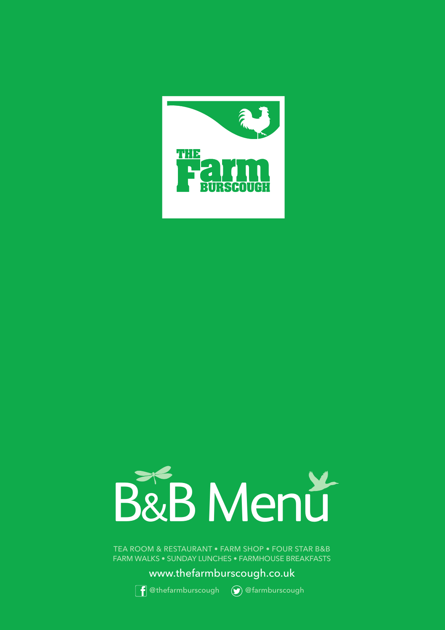



TEA ROOM & RESTAURANT • FARM SHOP • FOUR STAR B&B FARM WALKS • SUNDAY LUNCHES • FARMHOUSE BREAKFASTS

www.thefarmburscough.co.uk





**f** @thefarmburscough (a) @farmburscough